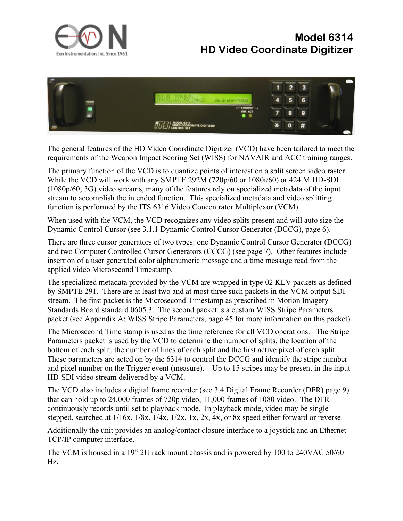

## **Model 6314 HD Video Coordinate Digitizer**



The general features of the HD Video Coordinate Digitizer (VCD) have been tailored to meet the requirements of the Weapon Impact Scoring Set (WISS) for NAVAIR and ACC training ranges.

The primary function of the VCD is to quantize points of interest on a split screen video raster. While the VCD will work with any SMPTE 292M (720p/60 or 1080i/60) or 424 M HD-SDI (1080p/60; 3G) video streams, many of the features rely on specialized metadata of the input stream to accomplish the intended function. This specialized metadata and video splitting function is performed by the ITS 6316 Video Concentrator Multiplexor (VCM).

When used with the VCM, the VCD recognizes any video splits present and will auto size the Dynamic Control Cursor (see 3.1.1 Dynamic Control Cursor Generator (DCCG), page 6).

There are three cursor generators of two types: one Dynamic Control Cursor Generator (DCCG) and two Computer Controlled Cursor Generators (CCCG) (see page 7). Other features include insertion of a user generated color alphanumeric message and a time message read from the applied video Microsecond Timestamp.

The specialized metadata provided by the VCM are wrapped in type 02 KLV packets as defined by SMPTE 291. There are at least two and at most three such packets in the VCM output SDI stream. The first packet is the Microsecond Timestamp as prescribed in Motion Imagery Standards Board standard 0605.3. The second packet is a custom WISS Stripe Parameters packet (see Appendix A: WISS Stripe Parameters, page 45 for more information on this packet).

The Microsecond Time stamp is used as the time reference for all VCD operations. The Stripe Parameters packet is used by the VCD to determine the number of splits, the location of the bottom of each split, the number of lines of each split and the first active pixel of each split. These parameters are acted on by the 6314 to control the DCCG and identify the stripe number and pixel number on the Trigger event (measure). Up to 15 stripes may be present in the input HD-SDI video stream delivered by a VCM.

The VCD also includes a digital frame recorder (see 3.4 Digital Frame Recorder (DFR) page 9) that can hold up to 24,000 frames of 720p video, 11,000 frames of 1080 video. The DFR continuously records until set to playback mode. In playback mode, video may be single stepped, searched at 1/16x, 1/8x, 1/4x, 1/2x, 1x, 2x, 4x, or 8x speed either forward or reverse.

Additionally the unit provides an analog/contact closure interface to a joystick and an Ethernet TCP/IP computer interface.

The VCM is housed in a 19" 2U rack mount chassis and is powered by 100 to 240VAC 50/60 Hz.